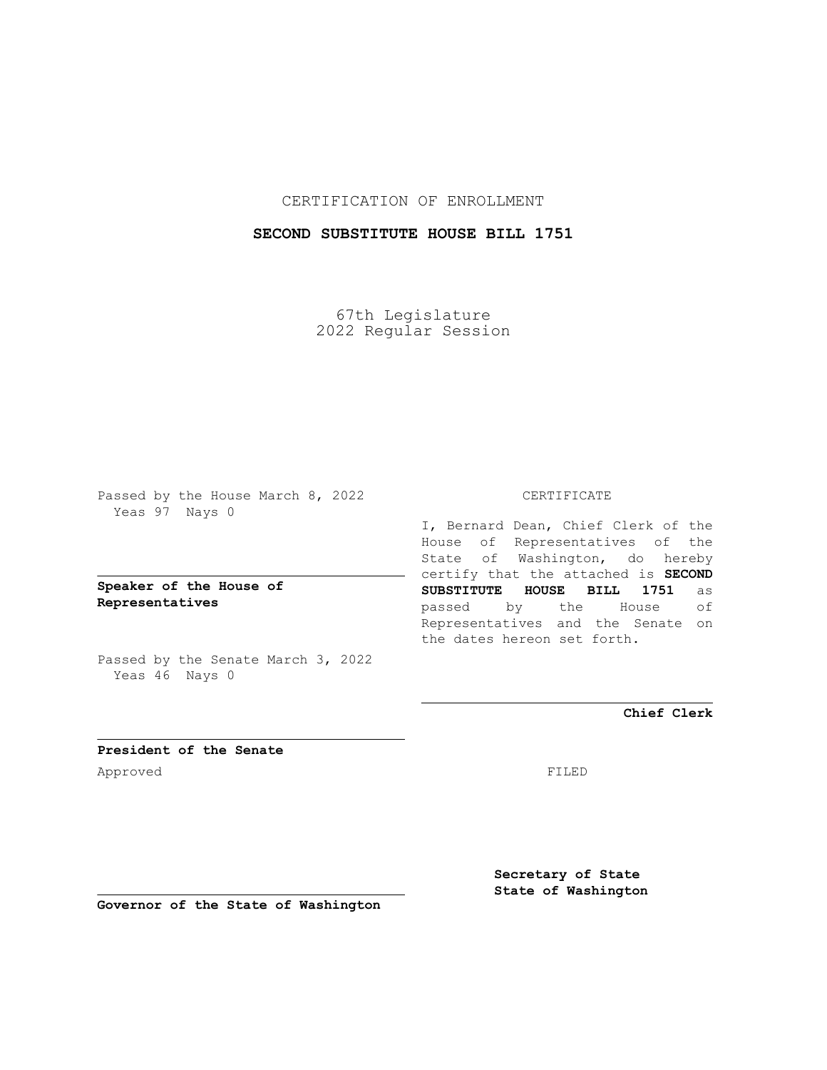CERTIFICATION OF ENROLLMENT

# **SECOND SUBSTITUTE HOUSE BILL 1751**

67th Legislature 2022 Regular Session

Passed by the House March 8, 2022 Yeas 97 Nays 0

## **Speaker of the House of Representatives**

Passed by the Senate March 3, 2022 Yeas 46 Nays 0

### CERTIFICATE

I, Bernard Dean, Chief Clerk of the House of Representatives of the State of Washington, do hereby certify that the attached is **SECOND SUBSTITUTE HOUSE BILL 1751** as passed by the House of Representatives and the Senate on the dates hereon set forth.

**Chief Clerk**

**President of the Senate** Approved FILED

**Secretary of State State of Washington**

**Governor of the State of Washington**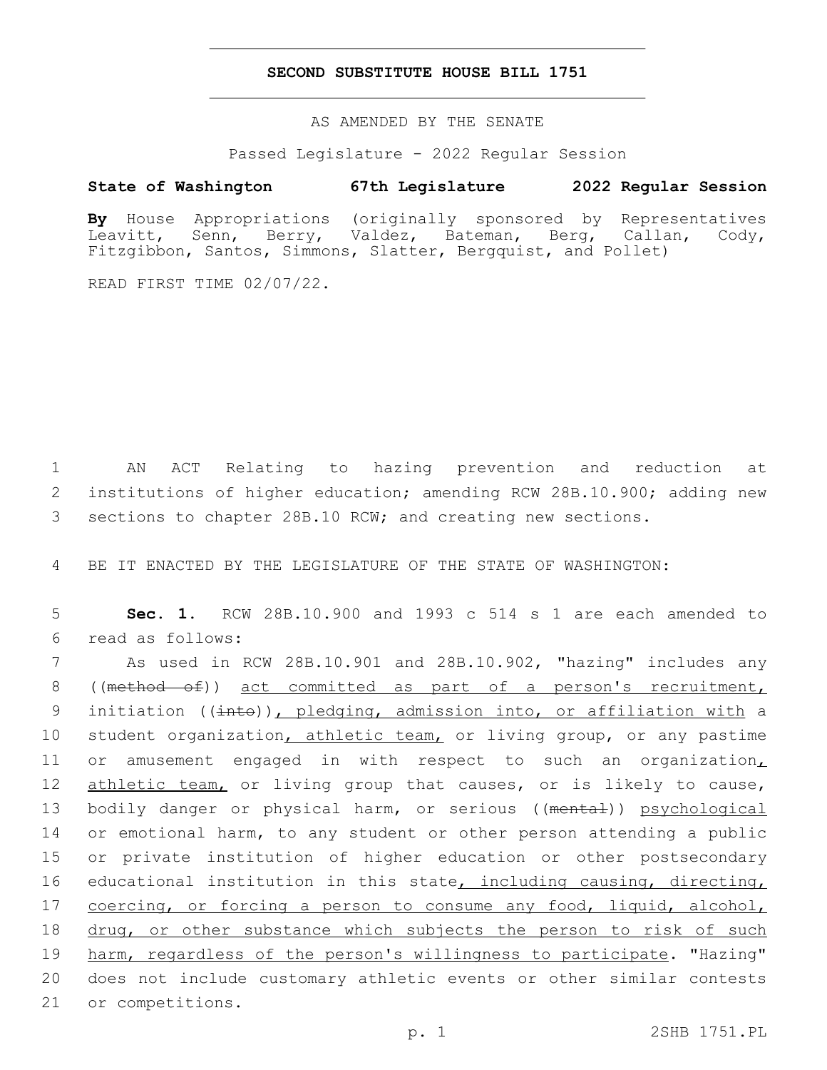#### **SECOND SUBSTITUTE HOUSE BILL 1751**

AS AMENDED BY THE SENATE

Passed Legislature - 2022 Regular Session

### **State of Washington 67th Legislature 2022 Regular Session**

**By** House Appropriations (originally sponsored by Representatives Leavitt, Senn, Berry, Valdez, Bateman, Berg, Callan, Cody, Fitzgibbon, Santos, Simmons, Slatter, Bergquist, and Pollet)

READ FIRST TIME 02/07/22.

1 AN ACT Relating to hazing prevention and reduction at 2 institutions of higher education; amending RCW 28B.10.900; adding new 3 sections to chapter 28B.10 RCW; and creating new sections.

4 BE IT ENACTED BY THE LEGISLATURE OF THE STATE OF WASHINGTON:

5 **Sec. 1.** RCW 28B.10.900 and 1993 c 514 s 1 are each amended to read as follows:6

7 As used in RCW 28B.10.901 and 28B.10.902, "hazing" includes any 8 ((method of)) act committed as part of a person's recruitment, 9 initiation (( $\frac{1}{1}$ ), pledging, admission into, or affiliation with a 10 student organization, athletic team, or living group, or any pastime 11 or amusement engaged in with respect to such an organization, 12 athletic team, or living group that causes, or is likely to cause, 13 bodily danger or physical harm, or serious ((mental)) psychological 14 or emotional harm, to any student or other person attending a public 15 or private institution of higher education or other postsecondary 16 educational institution in this state, including causing, directing, 17 coercing, or forcing a person to consume any food, liquid, alcohol, 18 drug, or other substance which subjects the person to risk of such 19 harm, regardless of the person's willingness to participate. "Hazing" 20 does not include customary athletic events or other similar contests 21 or competitions.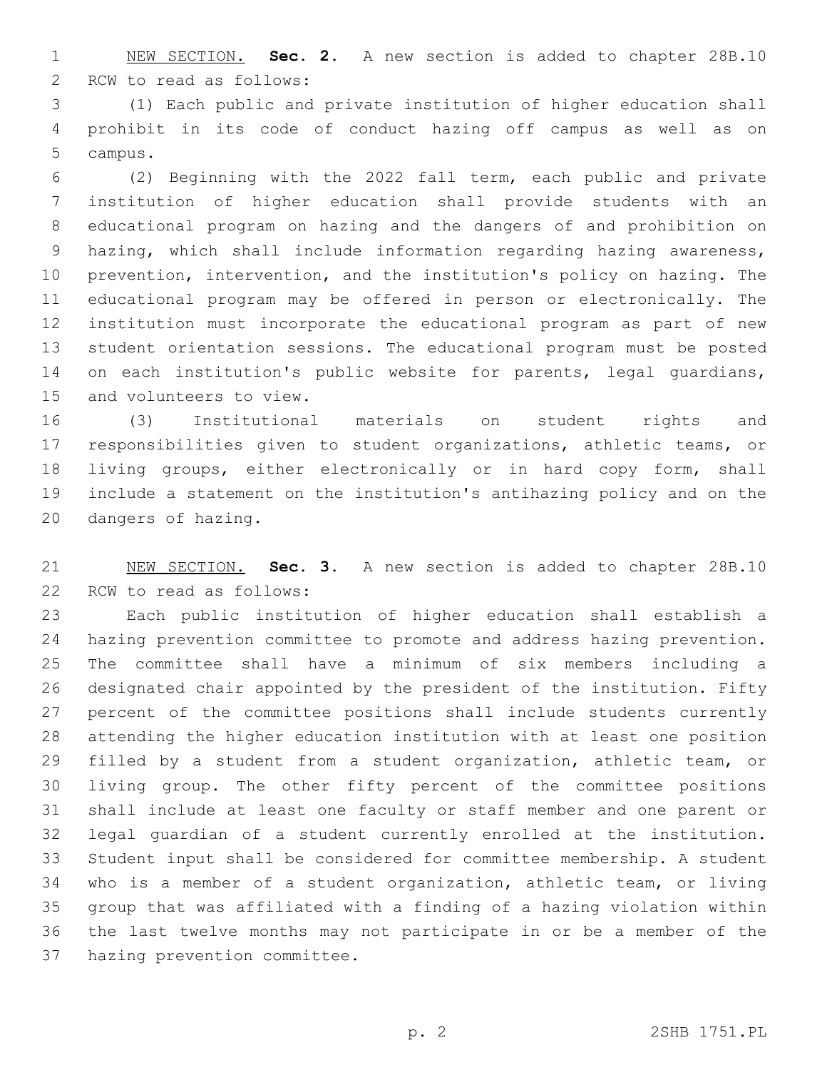NEW SECTION. **Sec. 2.** A new section is added to chapter 28B.10 2 RCW to read as follows:

 (1) Each public and private institution of higher education shall prohibit in its code of conduct hazing off campus as well as on 5 campus.

 (2) Beginning with the 2022 fall term, each public and private institution of higher education shall provide students with an educational program on hazing and the dangers of and prohibition on hazing, which shall include information regarding hazing awareness, prevention, intervention, and the institution's policy on hazing. The educational program may be offered in person or electronically. The institution must incorporate the educational program as part of new student orientation sessions. The educational program must be posted 14 on each institution's public website for parents, legal quardians, 15 and volunteers to view.

 (3) Institutional materials on student rights and responsibilities given to student organizations, athletic teams, or living groups, either electronically or in hard copy form, shall include a statement on the institution's antihazing policy and on the 20 dangers of hazing.

 NEW SECTION. **Sec. 3.** A new section is added to chapter 28B.10 22 RCW to read as follows:

 Each public institution of higher education shall establish a hazing prevention committee to promote and address hazing prevention. The committee shall have a minimum of six members including a designated chair appointed by the president of the institution. Fifty percent of the committee positions shall include students currently attending the higher education institution with at least one position filled by a student from a student organization, athletic team, or living group. The other fifty percent of the committee positions shall include at least one faculty or staff member and one parent or legal guardian of a student currently enrolled at the institution. Student input shall be considered for committee membership. A student who is a member of a student organization, athletic team, or living group that was affiliated with a finding of a hazing violation within the last twelve months may not participate in or be a member of the 37 hazing prevention committee.

p. 2 2SHB 1751.PL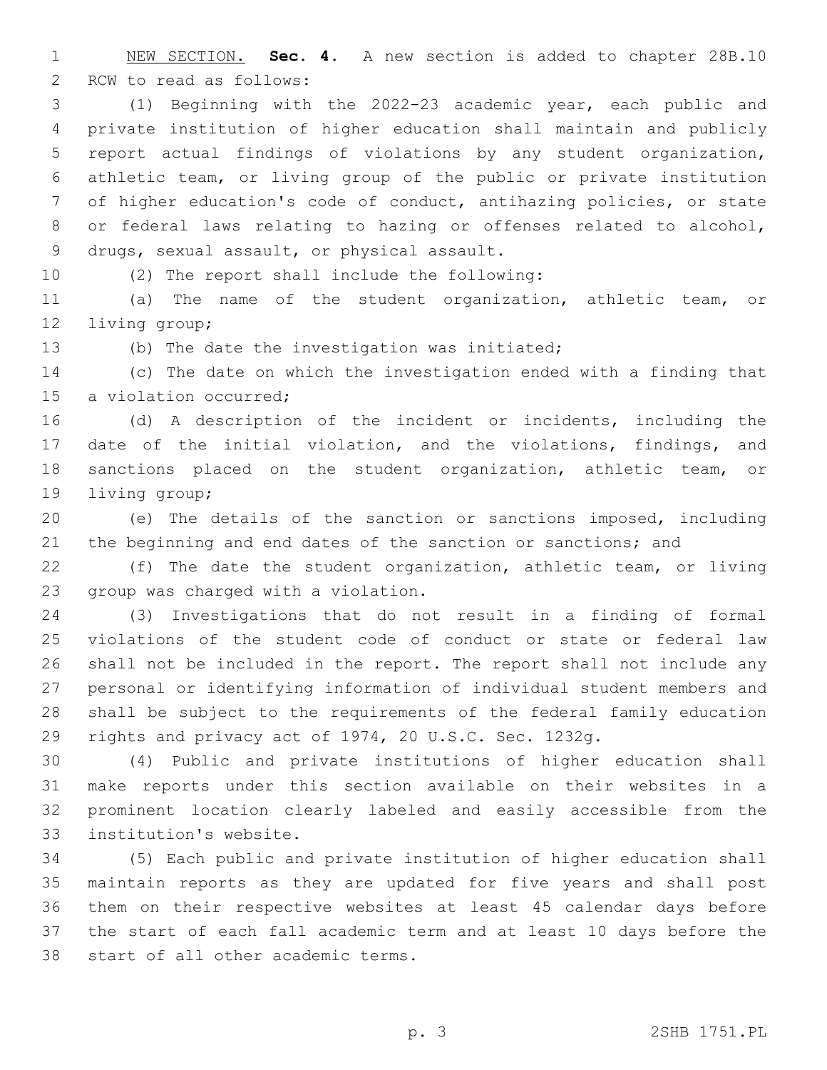NEW SECTION. **Sec. 4.** A new section is added to chapter 28B.10 2 RCW to read as follows:

 (1) Beginning with the 2022-23 academic year, each public and private institution of higher education shall maintain and publicly report actual findings of violations by any student organization, athletic team, or living group of the public or private institution of higher education's code of conduct, antihazing policies, or state or federal laws relating to hazing or offenses related to alcohol, 9 drugs, sexual assault, or physical assault.

10 (2) The report shall include the following:

 (a) The name of the student organization, athletic team, or 12 living group;

13 (b) The date the investigation was initiated;

 (c) The date on which the investigation ended with a finding that 15 a violation occurred;

 (d) A description of the incident or incidents, including the date of the initial violation, and the violations, findings, and sanctions placed on the student organization, athletic team, or 19 living group;

 (e) The details of the sanction or sanctions imposed, including the beginning and end dates of the sanction or sanctions; and

 (f) The date the student organization, athletic team, or living 23 group was charged with a violation.

 (3) Investigations that do not result in a finding of formal violations of the student code of conduct or state or federal law shall not be included in the report. The report shall not include any personal or identifying information of individual student members and shall be subject to the requirements of the federal family education rights and privacy act of 1974, 20 U.S.C. Sec. 1232g.

 (4) Public and private institutions of higher education shall make reports under this section available on their websites in a prominent location clearly labeled and easily accessible from the 33 institution's website.

 (5) Each public and private institution of higher education shall maintain reports as they are updated for five years and shall post them on their respective websites at least 45 calendar days before the start of each fall academic term and at least 10 days before the 38 start of all other academic terms.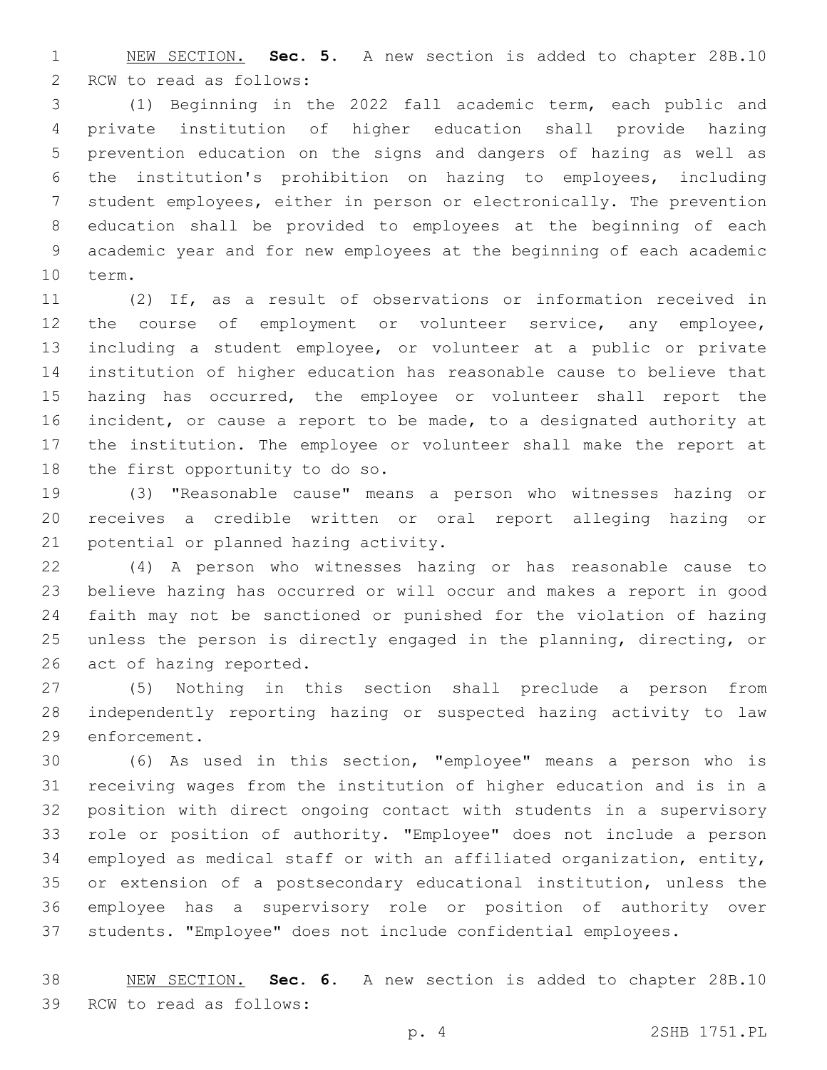NEW SECTION. **Sec. 5.** A new section is added to chapter 28B.10 2 RCW to read as follows:

 (1) Beginning in the 2022 fall academic term, each public and private institution of higher education shall provide hazing prevention education on the signs and dangers of hazing as well as the institution's prohibition on hazing to employees, including student employees, either in person or electronically. The prevention education shall be provided to employees at the beginning of each academic year and for new employees at the beginning of each academic 10 term.

 (2) If, as a result of observations or information received in 12 the course of employment or volunteer service, any employee, including a student employee, or volunteer at a public or private institution of higher education has reasonable cause to believe that hazing has occurred, the employee or volunteer shall report the incident, or cause a report to be made, to a designated authority at the institution. The employee or volunteer shall make the report at 18 the first opportunity to do so.

 (3) "Reasonable cause" means a person who witnesses hazing or receives a credible written or oral report alleging hazing or 21 potential or planned hazing activity.

 (4) A person who witnesses hazing or has reasonable cause to believe hazing has occurred or will occur and makes a report in good faith may not be sanctioned or punished for the violation of hazing unless the person is directly engaged in the planning, directing, or 26 act of hazing reported.

 (5) Nothing in this section shall preclude a person from independently reporting hazing or suspected hazing activity to law 29 enforcement.

 (6) As used in this section, "employee" means a person who is receiving wages from the institution of higher education and is in a position with direct ongoing contact with students in a supervisory role or position of authority. "Employee" does not include a person employed as medical staff or with an affiliated organization, entity, or extension of a postsecondary educational institution, unless the employee has a supervisory role or position of authority over students. "Employee" does not include confidential employees.

 NEW SECTION. **Sec. 6.** A new section is added to chapter 28B.10 39 RCW to read as follows: